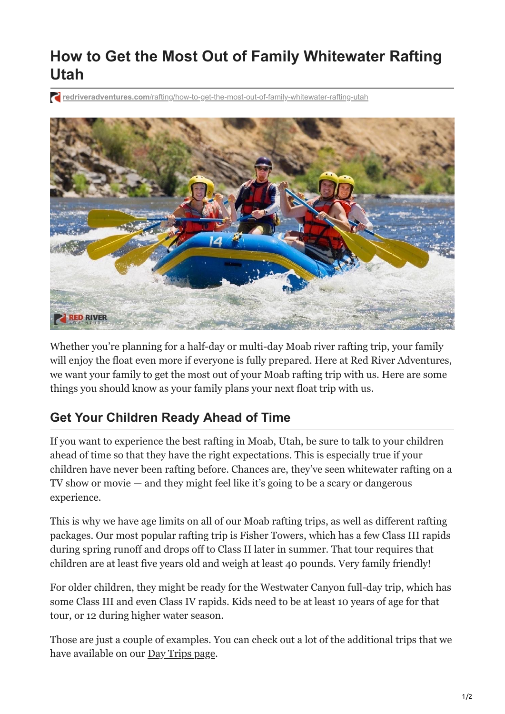# **How to Get the Most Out of Family Whitewater Rafting Utah**

**redriveradventures.com**[/rafting/how-to-get-the-most-out-of-family-whitewater-rafting-utah](https://redriveradventures.com/rafting/how-to-get-the-most-out-of-family-whitewater-rafting-utah/)



Whether you're planning for a half-day or multi-day Moab river rafting trip, your family will enjoy the float even more if everyone is fully prepared. Here at Red River Adventures, we want your family to get the most out of your Moab rafting trip with us. Here are some things you should know as your family plans your next float trip with us.

### **Get Your Children Ready Ahead of Time**

If you want to experience the best rafting in Moab, Utah, be sure to talk to your children ahead of time so that they have the right expectations. This is especially true if your children have never been rafting before. Chances are, they've seen whitewater rafting on a TV show or movie — and they might feel like it's going to be a scary or dangerous experience.

This is why we have age limits on all of our Moab rafting trips, as well as different rafting packages. Our most popular rafting trip is Fisher Towers, which has a few Class III rapids during spring runoff and drops off to Class II later in summer. That tour requires that children are at least five years old and weigh at least 40 pounds. Very family friendly!

For older children, they might be ready for the Westwater Canyon full-day trip, which has some Class III and even Class IV rapids. Kids need to be at least 10 years of age for that tour, or 12 during higher water season.

Those are just a couple of examples. You can check out a lot of the additional trips that we have available on our [Day Trips page.](https://redriveradventures.com/utah-rafting/day-trips/)